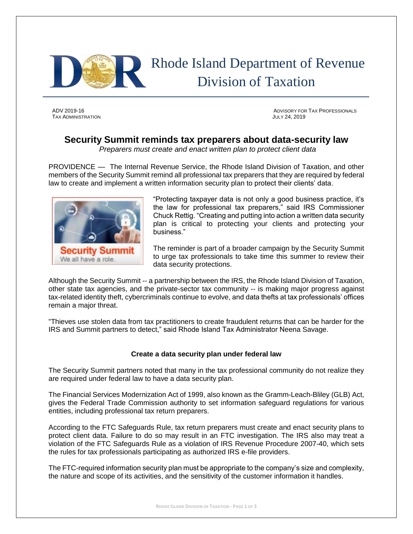

# Rhode Island Department of Revenue Division of Taxation

TAX ADMINISTRATION JULY 24, 2019

ADV 2019-16 ADVISORY FOR TAX PROFESSIONALS

# **Security Summit reminds tax preparers about data-security law**

*Preparers must create and enact written plan to protect client data*

PROVIDENCE — The Internal Revenue Service, the Rhode Island Division of Taxation, and other members of the Security Summit remind all professional tax preparers that they are required by federal law to create and implement a written information security plan to protect their clients' data.



"Protecting taxpayer data is not only a good business practice, it's the law for professional tax preparers," said IRS Commissioner Chuck Rettig. "Creating and putting into action a written data security plan is critical to protecting your clients and protecting your business."

The reminder is part of a broader campaign by the Security Summit to urge tax professionals to take time this summer to review their data security protections.

Although the Security Summit -- a partnership between the IRS, the Rhode Island Division of Taxation, other state tax agencies, and the private-sector tax community -- is making major progress against tax-related identity theft, cybercriminals continue to evolve, and data thefts at tax professionals' offices remain a major threat.

"Thieves use stolen data from tax practitioners to create fraudulent returns that can be harder for the IRS and Summit partners to detect," said Rhode Island Tax Administrator Neena Savage.

## **Create a data security plan under federal law**

The Security Summit partners noted that many in the tax professional community do not realize they are required under federal law to have a data security plan.

The Financial Services Modernization Act of 1999, also known as the Gramm-Leach-Bliley (GLB) Act, gives the Federal Trade Commission authority to set information safeguard regulations for various entities, including professional tax return preparers.

According to the FTC Safeguards Rule, tax return preparers must create and enact security plans to protect client data. Failure to do so may result in an FTC investigation. The IRS also may treat a violation of the FTC Safeguards Rule as a violation of IRS Revenue Procedure 2007-40, which sets the rules for tax professionals participating as authorized IRS e-file providers.

The FTC-required information security plan must be appropriate to the company's size and complexity, the nature and scope of its activities, and the sensitivity of the customer information it handles.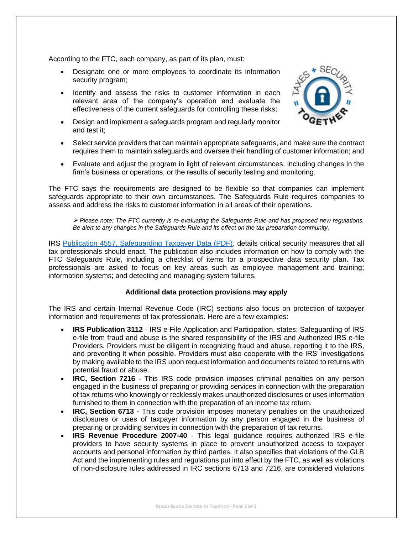According to the FTC, each company, as part of its plan, must:

- Designate one or more employees to coordinate its information security program;
- Identify and assess the risks to customer information in each relevant area of the company's operation and evaluate the effectiveness of the current safeguards for controlling these risks;
- Design and implement a safeguards program and regularly monitor and test it;



- Select service providers that can maintain appropriate safeguards, and make sure the contract requires them to maintain safeguards and oversee their handling of customer information; and
- Evaluate and adjust the program in light of relevant circumstances, including changes in the firm's business or operations, or the results of security testing and monitoring.

The FTC says the requirements are designed to be flexible so that companies can implement safeguards appropriate to their own circumstances. The Safeguards Rule requires companies to assess and address the risks to customer information in all areas of their operations.

➢ *Please note: The FTC currently is re-evaluating the Safeguards Rule and has proposed new regulations. Be alert to any changes in the Safeguards Rule and its effect on the tax preparation community.*

IRS [Publication 4557, Safeguarding Taxpayer Data \(PDF\),](https://www.irs.gov/pub/irs-pdf/p4557.pdf) details critical security measures that all tax professionals should enact. The publication also includes information on how to comply with the FTC Safeguards Rule, including a checklist of items for a prospective data security plan. Tax professionals are asked to focus on key areas such as employee management and training; information systems; and detecting and managing system failures.

## **Additional data protection provisions may apply**

The IRS and certain Internal Revenue Code (IRC) sections also focus on protection of taxpayer information and requirements of tax professionals. Here are a few examples:

- **IRS Publication 3112**  IRS e-File Application and Participation, states: Safeguarding of IRS e-file from fraud and abuse is the shared responsibility of the IRS and Authorized IRS e-file Providers. Providers must be diligent in recognizing fraud and abuse, reporting it to the IRS, and preventing it when possible. Providers must also cooperate with the IRS' investigations by making available to the IRS upon request information and documents related to returns with potential fraud or abuse.
- **IRC, Section 7216** This IRS code provision imposes criminal penalties on any person engaged in the business of preparing or providing services in connection with the preparation of tax returns who knowingly or recklessly makes unauthorized disclosures or uses information furnished to them in connection with the preparation of an income tax return.
- **IRC, Section 6713**  This code provision imposes monetary penalties on the unauthorized disclosures or uses of taxpayer information by any person engaged in the business of preparing or providing services in connection with the preparation of tax returns.
- **IRS Revenue Procedure 2007-40**  This legal guidance requires authorized IRS e-file providers to have security systems in place to prevent unauthorized access to taxpayer accounts and personal information by third parties. It also specifies that violations of the GLB Act and the implementing rules and regulations put into effect by the FTC, as well as violations of non-disclosure rules addressed in IRC sections 6713 and 7216, are considered violations